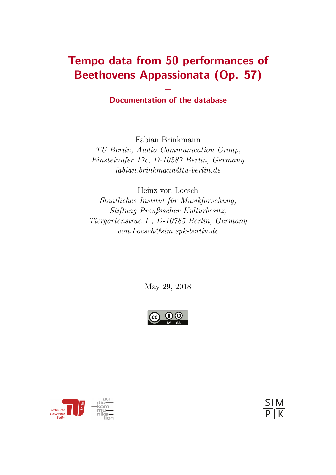# Tempo data from 50 performances of Beethovens Appassionata (Op. 57)

### – Documentation of the database

Fabian Brinkmann TU Berlin, Audio Communication Group, Einsteinufer 17c, D-10587 Berlin, Germany fabian.brinkmann@tu-berlin.de

Heinz von Loesch Staatliches Institut für Musikforschung, Stiftung Preußischer Kulturbesitz, Tiergartenstrae 1 , D-10785 Berlin, Germany von.Loesch@sim.spk-berlin.de

May 29, 2018





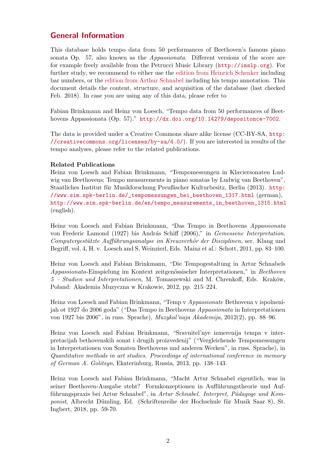### General Information

This database holds tempo data from 50 performances of Beethoven's famous piano sonata Op. 57, also known as the Appassionata. Different versions of the score are for example freely available from the Petrucci Music Library (<http://imslp.org>). For further study, we recommend to either use the [edition from Heinrich Schenker](http://petrucci.mus.auth.gr/imglnks/usimg/e/ed/IMSLP00023-Beethoven,_L.v._-_Piano_Sonata_23.pdf) including bar numbers, or the [edition from Arthur Schnabel](http://ks.petruccimusiclibrary.org/files/imglnks/usimg/2/27/IMSLP502675-PMLP1480-Beethoven_(ed._Schnabel)_.57.pdf) including his tempo annotation. This document details the content, structure, and acquisition of the database (last checked Feb. 2018). In case you are using any of this data, please refer to

Fabian Brinkmann and Heinz von Loesch, "Tempo data from 50 performances of Beethovens Appassionata (Op. 57)." <http://dx.doi.org/10.14279/depositonce-7002>.

The data is provided under a Creative Commons share alike license (CC-BY-SA, [http:](http://creativecommons.org/licenses/by-sa/4.0/) [//creativecommons.org/licenses/by-sa/4.0/](http://creativecommons.org/licenses/by-sa/4.0/)). If you are interested in results of the tempo analyses, please refer to the related publications.

#### Related Publications

Heinz von Loesch and Fabian Brinkmann, "Tempomessungen in Klaviersonaten Ludwig van Beethovens; Tempo measurements in piano sonatas by Ludwig van Beethoven", Staatliches Institut für Musikforschung Preußischer Kulturbesitz, Berlin (2013). [http:](http://www.sim.spk-berlin.de/_tempomessungen_bei_beethoven_1317.html) [//www.sim.spk-berlin.de/\\_tempomessungen\\_bei\\_beethoven\\_1317.html](http://www.sim.spk-berlin.de/_tempomessungen_bei_beethoven_1317.html) (german), [http://www.sim.spk-berlin.de/en/tempo\\_measurements\\_in\\_beethoven\\_1315.html](http://www.sim.spk-berlin.de/en/tempo_measurements_in_beethoven_1315.html) (english).

Heinz von Loesch and Fabian Brinkmann, "Das Tempo in Beethovens Appassionata von Frederic Lamond (1927) bis András Schiff (2006)," in Gemessene Interpretation. Computergestützte Aufführungsanalyse im Kreuzverhör der Disziplinen, ser. Klang und Begriff, vol. 4, H. v. Loesch and S. Weinzierl, Eds. Mainz et al.: Schott, 2011, pp. 83–100.

Heinz von Loesch and Fabian Brinkmann, "Die Tempogestaltung in Artur Schnabels Appassionata-Einspielung im Kontext zeitgenössischer Interpretationen," in Beethoven 5 – Studien und Interpretationen, M. Tomaszewski and M. Chrenkoff, Eds. Krak´ow, Poland: Akademia Muzyczna w Krakowie, 2012, pp. 215–224.

Heinz von Loesch and Fabian Brinkmann, "Temp v Appassionate Bethovena v ispolnenijah ot 1927 do 2006 goda" ("Das Tempo in Beethovens Appassionata in Interpretationen von 1927 bis 2006", in russ. Sprache), Muzykal'naja Akademija, 2012(2), pp. 88–96.

Heinz von Loesch and Fabian Brinkmann, "Sravnitel'nye izmerenija tempa v interpretacijah bethovenskih sonat i drugih proizvedenij" ("Vergleichende Tempomessungen in Interpretationen von Sonaten Beethovens und anderen Werken", in russ. Sprache), in Quantitative methods in art studies. Proceedings of international conference in memory of German A. Golitsyn, Ekaterinburg, Russia, 2013, pp. 138–143.

Heinz von Loesch and Fabian Brinkmann, "Macht Artur Schnabel eigentlich, was in seiner Beethoven-Ausgabe steht? Formkonzeptionen in Aufführungstheorie und Aufführungspraxis bei Artur Schnabel", in Artur Schnabel. Interpret, Pädagoge und Komponist, Albrecht Dümling, Ed. (Schriftenreihe der Hochschule für Musik Saar 8), St. Ingbert, 2018, pp. 59-70.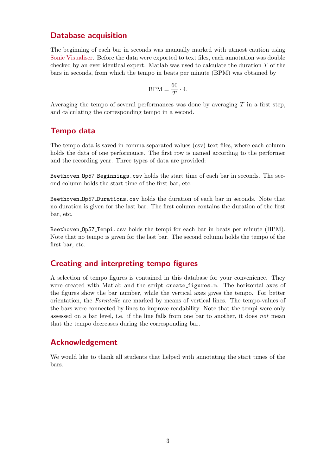#### Database acquisition

The beginning of each bar in seconds was manually marked with utmost caution using [Sonic Visualiser.](http://sonicvisualiser.org) Before the data were exported to text files, each annotation was double checked by an ever identical expert. Matlab was used to calculate the duration  $T$  of the bars in seconds, from which the tempo in beats per minute (BPM) was obtained by

$$
\text{BPM} = \frac{60}{T} \cdot 4.
$$

Averaging the tempo of several performances was done by averaging  $T$  in a first step, and calculating the corresponding tempo in a second.

#### Tempo data

The tempo data is saved in comma separated values (csv) text files, where each column holds the data of one performance. The first row is named according to the performer and the recording year. Three types of data are provided:

Beethoven Op57 Beginnings.csv holds the start time of each bar in seconds. The second column holds the start time of the first bar, etc.

Beethoven Op57 Durations.csv holds the duration of each bar in seconds. Note that no duration is given for the last bar. The first column contains the duration of the first bar, etc.

Beethoven Op57 Tempi.csv holds the tempi for each bar in beats per minute (BPM). Note that no tempo is given for the last bar. The second column holds the tempo of the first bar, etc.

#### Creating and interpreting tempo figures

A selection of tempo figures is contained in this database for your convenience. They were created with Matlab and the script create figures.m. The horizontal axes of the figures show the bar number, while the vertical axes gives the tempo. For better orientation, the Formteile are marked by means of vertical lines. The tempo-values of the bars were connected by lines to improve readability. Note that the tempi were only assessed on a bar level, i.e. if the line falls from one bar to another, it does not mean that the tempo decreases during the corresponding bar.

#### Acknowledgement

We would like to thank all students that helped with annotating the start times of the bars.